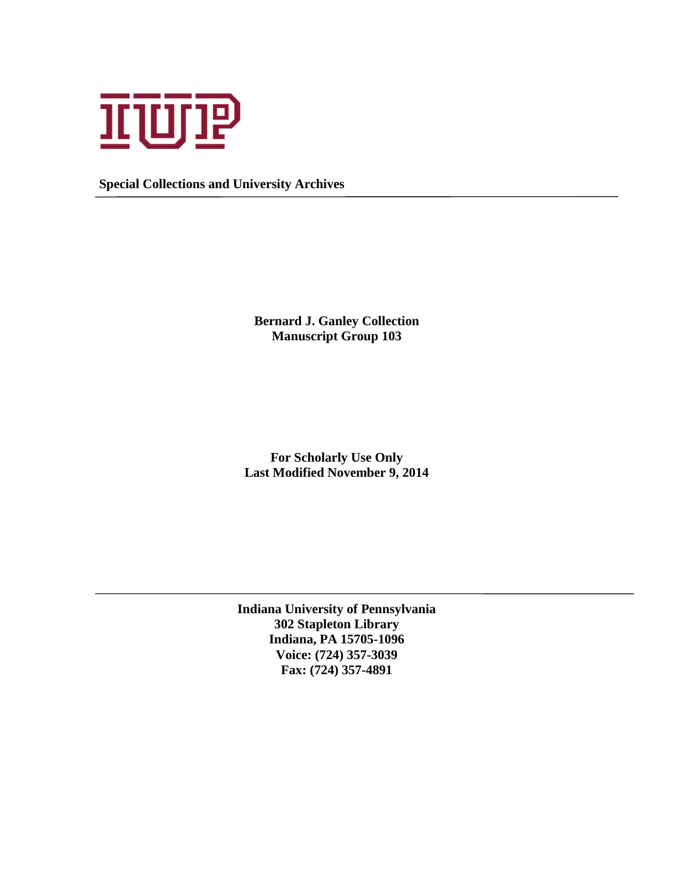

**Special Collections and University Archives**

**Bernard J. Ganley Collection Manuscript Group 103**

**For Scholarly Use Only Last Modified November 9, 2014**

**Indiana University of Pennsylvania 302 Stapleton Library Indiana, PA 15705-1096 Voice: (724) 357-3039 Fax: (724) 357-4891**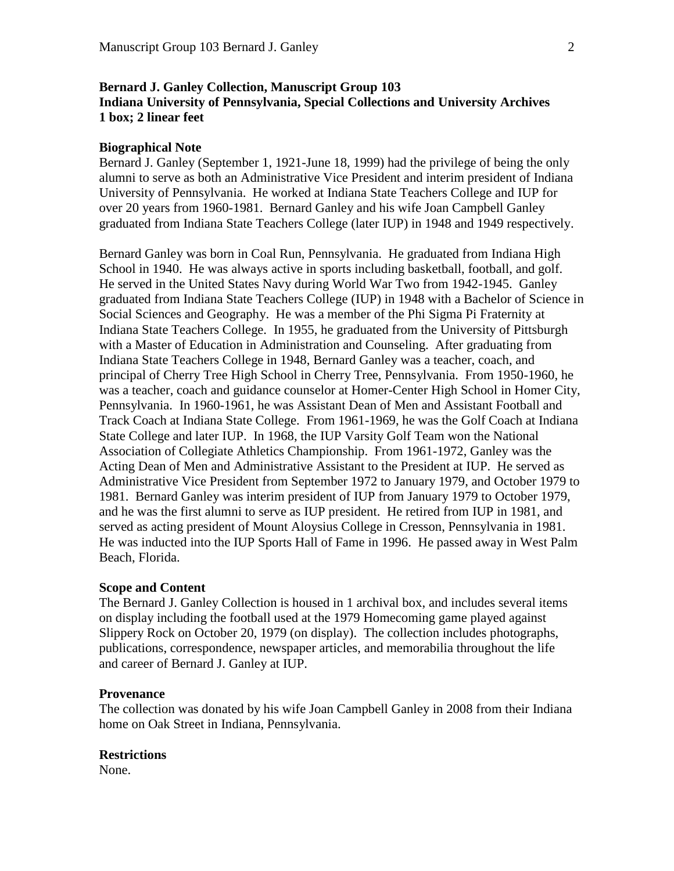# **Bernard J. Ganley Collection, Manuscript Group 103 Indiana University of Pennsylvania, Special Collections and University Archives 1 box; 2 linear feet**

## **Biographical Note**

Bernard J. Ganley (September 1, 1921-June 18, 1999) had the privilege of being the only alumni to serve as both an Administrative Vice President and interim president of Indiana University of Pennsylvania. He worked at Indiana State Teachers College and IUP for over 20 years from 1960-1981. Bernard Ganley and his wife Joan Campbell Ganley graduated from Indiana State Teachers College (later IUP) in 1948 and 1949 respectively.

Bernard Ganley was born in Coal Run, Pennsylvania. He graduated from Indiana High School in 1940. He was always active in sports including basketball, football, and golf. He served in the United States Navy during World War Two from 1942-1945. Ganley graduated from Indiana State Teachers College (IUP) in 1948 with a Bachelor of Science in Social Sciences and Geography. He was a member of the Phi Sigma Pi Fraternity at Indiana State Teachers College. In 1955, he graduated from the University of Pittsburgh with a Master of Education in Administration and Counseling. After graduating from Indiana State Teachers College in 1948, Bernard Ganley was a teacher, coach, and principal of Cherry Tree High School in Cherry Tree, Pennsylvania. From 1950-1960, he was a teacher, coach and guidance counselor at Homer-Center High School in Homer City, Pennsylvania. In 1960-1961, he was Assistant Dean of Men and Assistant Football and Track Coach at Indiana State College. From 1961-1969, he was the Golf Coach at Indiana State College and later IUP. In 1968, the IUP Varsity Golf Team won the National Association of Collegiate Athletics Championship. From 1961-1972, Ganley was the Acting Dean of Men and Administrative Assistant to the President at IUP. He served as Administrative Vice President from September 1972 to January 1979, and October 1979 to 1981. Bernard Ganley was interim president of IUP from January 1979 to October 1979, and he was the first alumni to serve as IUP president. He retired from IUP in 1981, and served as acting president of Mount Aloysius College in Cresson, Pennsylvania in 1981. He was inducted into the IUP Sports Hall of Fame in 1996. He passed away in West Palm Beach, Florida.

## **Scope and Content**

The Bernard J. Ganley Collection is housed in 1 archival box, and includes several items on display including the football used at the 1979 Homecoming game played against Slippery Rock on October 20, 1979 (on display). The collection includes photographs, publications, correspondence, newspaper articles, and memorabilia throughout the life and career of Bernard J. Ganley at IUP.

### **Provenance**

The collection was donated by his wife Joan Campbell Ganley in 2008 from their Indiana home on Oak Street in Indiana, Pennsylvania.

### **Restrictions**

None.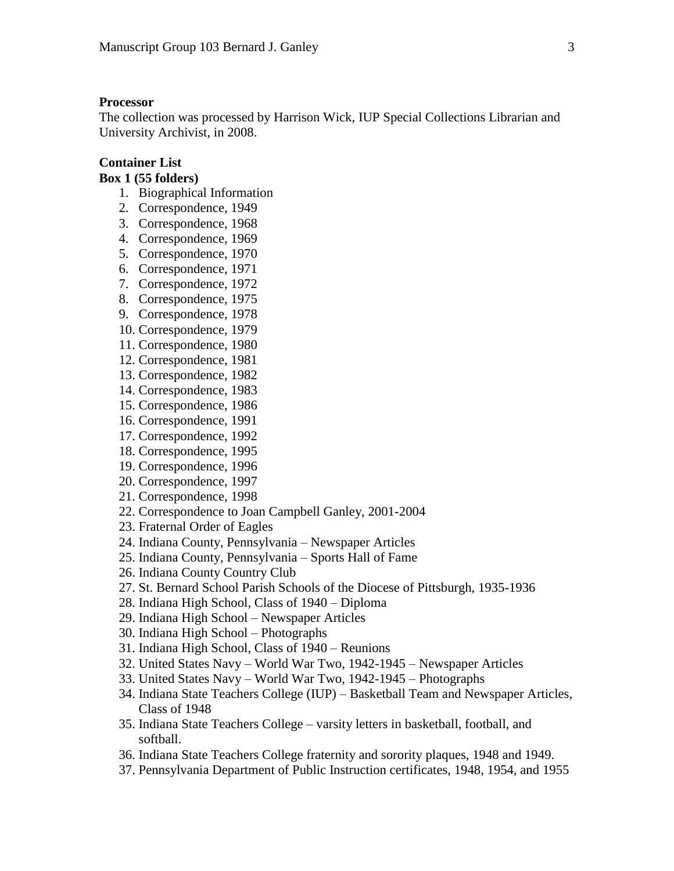#### **Processor**

The collection was processed by Harrison Wick, IUP Special Collections Librarian and University Archivist, in 2008.

## **Container List**

#### **Box 1 (55 folders)**

- 1. Biographical Information
- 2. Correspondence, 1949
- 3. Correspondence, 1968
- 4. Correspondence, 1969
- 5. Correspondence, 1970
- 6. Correspondence, 1971
- 7. Correspondence, 1972
- 8. Correspondence, 1975
- 9. Correspondence, 1978
- 10. Correspondence, 1979
- 11. Correspondence, 1980
- 12. Correspondence, 1981
- 13. Correspondence, 1982
- 14. Correspondence, 1983
- 15. Correspondence, 1986
- 16. Correspondence, 1991
- 17. Correspondence, 1992
- 18. Correspondence, 1995
- 19. Correspondence, 1996
- 20. Correspondence, 1997
- 21. Correspondence, 1998
- 22. Correspondence to Joan Campbell Ganley, 2001-2004
- 23. Fraternal Order of Eagles
- 24. Indiana County, Pennsylvania Newspaper Articles
- 25. Indiana County, Pennsylvania Sports Hall of Fame
- 26. Indiana County Country Club
- 27. St. Bernard School Parish Schools of the Diocese of Pittsburgh, 1935-1936
- 28. Indiana High School, Class of 1940 Diploma
- 29. Indiana High School Newspaper Articles
- 30. Indiana High School Photographs
- 31. Indiana High School, Class of 1940 Reunions
- 32. United States Navy World War Two, 1942-1945 Newspaper Articles
- 33. United States Navy World War Two, 1942-1945 Photographs
- 34. Indiana State Teachers College (IUP) Basketball Team and Newspaper Articles, Class of 1948
- 35. Indiana State Teachers College varsity letters in basketball, football, and softball.
- 36. Indiana State Teachers College fraternity and sorority plaques, 1948 and 1949.
- 37. Pennsylvania Department of Public Instruction certificates, 1948, 1954, and 1955